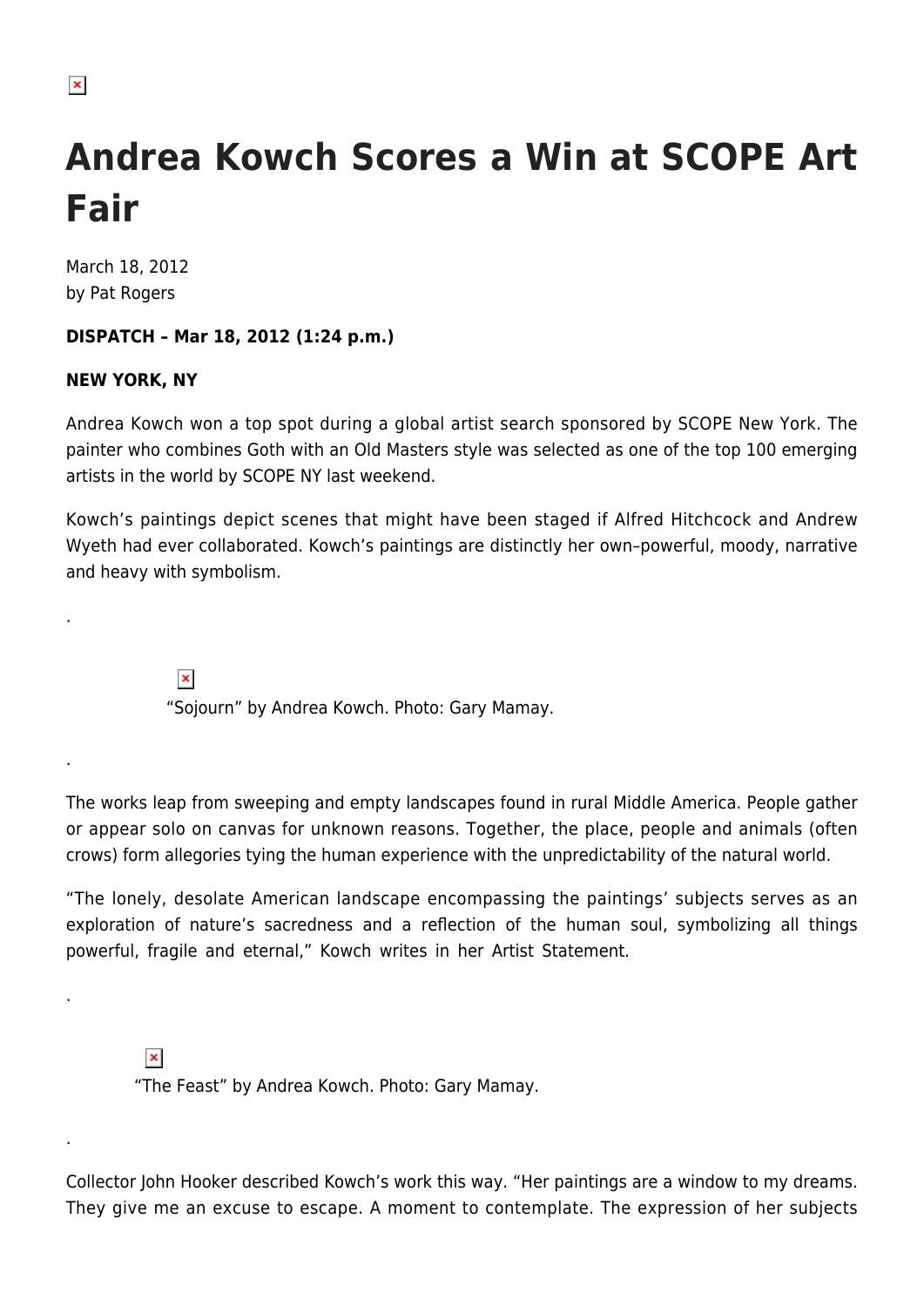$\pmb{\times}$ 

## **Andrea Kowch Scores a Win at SCOPE Art Fair**

March 18, 2012 by Pat Rogers

## **DISPATCH – Mar 18, 2012 (1:24 p.m.)**

## **NEW YORK, NY**

.

.

.

.

Andrea Kowch won a top spot during a global artist search sponsored by SCOPE New York. The painter who combines Goth with an Old Masters style was selected as one of the top 100 emerging artists in the world by SCOPE NY last weekend.

Kowch's paintings depict scenes that might have been staged if Alfred Hitchcock and Andrew Wyeth had ever collaborated. Kowch's paintings are distinctly her own–powerful, moody, narrative and heavy with symbolism.

> $\pmb{\times}$ "Sojourn" by Andrea Kowch. Photo: Gary Mamay.

The works leap from sweeping and empty landscapes found in rural Middle America. People gather or appear solo on canvas for unknown reasons. Together, the place, people and animals (often crows) form allegories tying the human experience with the unpredictability of the natural world.

"The lonely, desolate American landscape encompassing the paintings' subjects serves as an exploration of nature's sacredness and a reflection of the human soul, symbolizing all things powerful, fragile and eternal," Kowch writes in her Artist Statement.

 $\pmb{\times}$ "The Feast" by Andrea Kowch. Photo: Gary Mamay.

Collector John Hooker described Kowch's work this way. "Her paintings are a window to my dreams. They give me an excuse to escape. A moment to contemplate. The expression of her subjects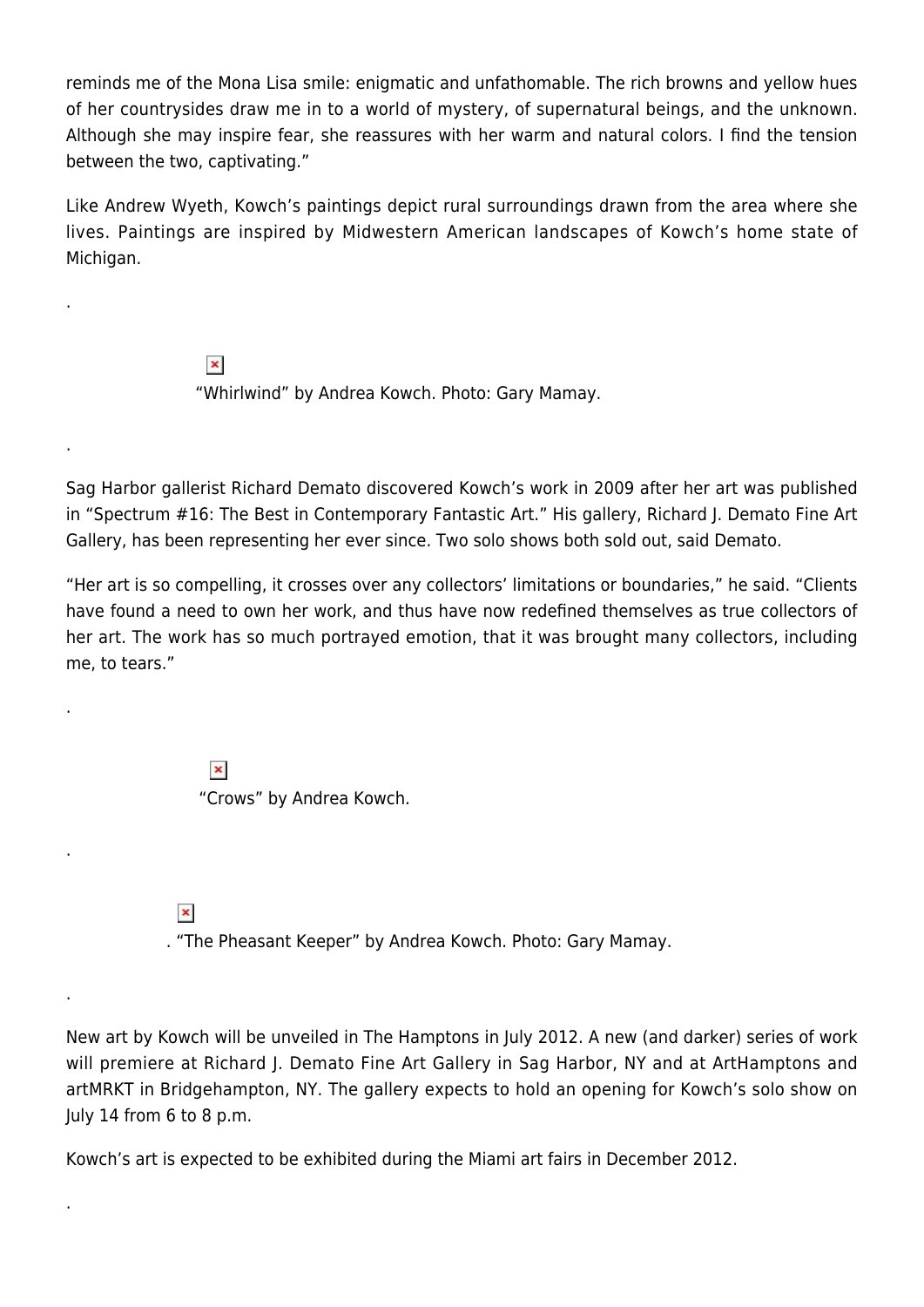reminds me of the Mona Lisa smile: enigmatic and unfathomable. The rich browns and yellow hues of her countrysides draw me in to a world of mystery, of supernatural beings, and the unknown. Although she may inspire fear, she reassures with her warm and natural colors. I find the tension between the two, captivating."

Like Andrew Wyeth, Kowch's paintings depict rural surroundings drawn from the area where she lives. Paintings are inspired by Midwestern American landscapes of Kowch's home state of Michigan.

> $\pmb{\times}$ "Whirlwind" by Andrea Kowch. Photo: Gary Mamay.

Sag Harbor gallerist Richard Demato discovered Kowch's work in 2009 after her art was published in "Spectrum #16: The Best in Contemporary Fantastic Art." His gallery, Richard J. Demato Fine Art Gallery, has been representing her ever since. Two solo shows both sold out, said Demato.

"Her art is so compelling, it crosses over any collectors' limitations or boundaries," he said. "Clients have found a need to own her work, and thus have now redefined themselves as true collectors of her art. The work has so much portrayed emotion, that it was brought many collectors, including me, to tears."

> $\pmb{\times}$ "Crows" by Andrea Kowch.

 $\pmb{\times}$ 

.

.

.

.

.

.

. "The Pheasant Keeper" by Andrea Kowch. Photo: Gary Mamay.

New art by Kowch will be unveiled in The Hamptons in July 2012. A new (and darker) series of work will premiere at Richard J. Demato Fine Art Gallery in Sag Harbor, NY and at ArtHamptons and artMRKT in Bridgehampton, NY. The gallery expects to hold an opening for Kowch's solo show on July 14 from 6 to 8 p.m.

Kowch's art is expected to be exhibited during the Miami art fairs in December 2012.